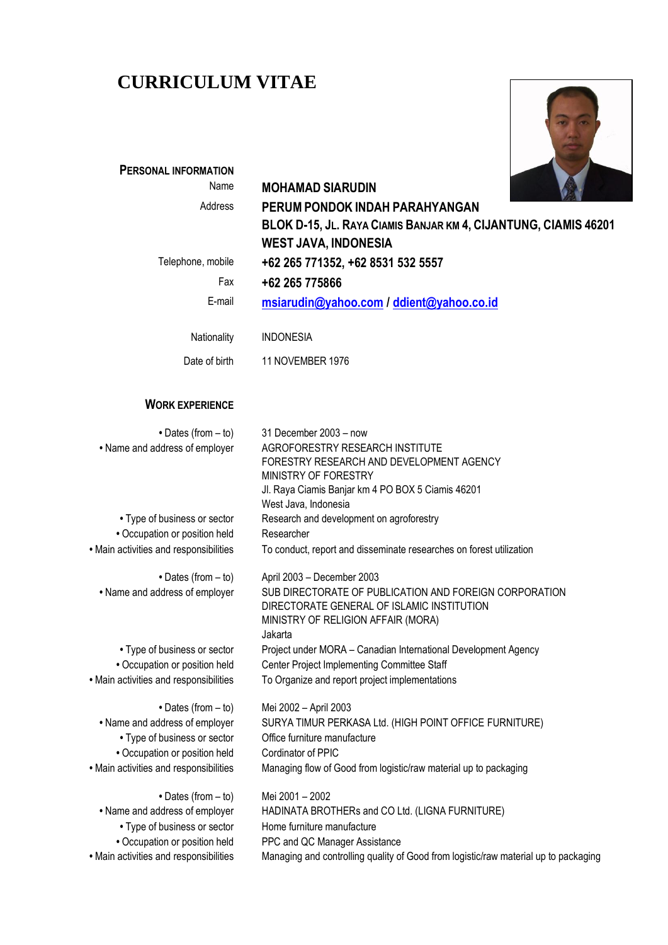# **CURRICULUM VITAE**



| <b>PERSONAL INFORMATION</b>                                             |                                                                                     |
|-------------------------------------------------------------------------|-------------------------------------------------------------------------------------|
| Name                                                                    | <b>MOHAMAD SIARUDIN</b>                                                             |
| Address                                                                 | PERUM PONDOK INDAH PARAHYANGAN                                                      |
|                                                                         | BLOK D-15, JL. RAYA CIAMIS BANJAR KM 4, CIJANTUNG, CIAMIS 46201                     |
|                                                                         | <b>WEST JAVA, INDONESIA</b>                                                         |
| Telephone, mobile                                                       | +62 265 771352, +62 8531 532 5557                                                   |
| Fax                                                                     | +62 265 775866                                                                      |
| E-mail                                                                  | msiarudin@yahoo.com / ddient@yahoo.co.id                                            |
|                                                                         |                                                                                     |
| Nationality                                                             | <b>INDONESIA</b>                                                                    |
| Date of birth                                                           | 11 NOVEMBER 1976                                                                    |
| <b>WORK EXPERIENCE</b>                                                  |                                                                                     |
| • Dates (from - to)                                                     | 31 December 2003 - now                                                              |
| • Name and address of employer                                          | AGROFORESTRY RESEARCH INSTITUTE                                                     |
|                                                                         | FORESTRY RESEARCH AND DEVELOPMENT AGENCY                                            |
|                                                                         | MINISTRY OF FORESTRY                                                                |
|                                                                         | Jl. Raya Ciamis Banjar km 4 PO BOX 5 Ciamis 46201                                   |
|                                                                         | West Java, Indonesia                                                                |
| • Type of business or sector                                            | Research and development on agroforestry<br>Researcher                              |
| • Occupation or position held<br>· Main activities and responsibilities | To conduct, report and disseminate researches on forest utilization                 |
|                                                                         |                                                                                     |
| • Dates (from - to)                                                     | April 2003 - December 2003                                                          |
| • Name and address of employer                                          | SUB DIRECTORATE OF PUBLICATION AND FOREIGN CORPORATION                              |
|                                                                         | DIRECTORATE GENERAL OF ISLAMIC INSTITUTION                                          |
|                                                                         | MINISTRY OF RELIGION AFFAIR (MORA)<br>Jakarta                                       |
| • Type of business or sector                                            | Project under MORA - Canadian International Development Agency                      |
| • Occupation or position held                                           | Center Project Implementing Committee Staff                                         |
| • Main activities and responsibilities                                  | To Organize and report project implementations                                      |
| $\bullet$ Dates (from $-$ to)                                           | Mei 2002 - April 2003                                                               |
| • Name and address of employer                                          | SURYA TIMUR PERKASA Ltd. (HIGH POINT OFFICE FURNITURE)                              |
| • Type of business or sector                                            | Office furniture manufacture                                                        |
| • Occupation or position held                                           | Cordinator of PPIC                                                                  |
| · Main activities and responsibilities                                  | Managing flow of Good from logistic/raw material up to packaging                    |
| • Dates (from - to)                                                     | Mei 2001 - 2002                                                                     |
| • Name and address of employer                                          | HADINATA BROTHERs and CO Ltd. (LIGNA FURNITURE)                                     |
| • Type of business or sector                                            | Home furniture manufacture                                                          |
| • Occupation or position held                                           | PPC and QC Manager Assistance                                                       |
| · Main activities and responsibilities                                  | Managing and controlling quality of Good from logistic/raw material up to packaging |
|                                                                         |                                                                                     |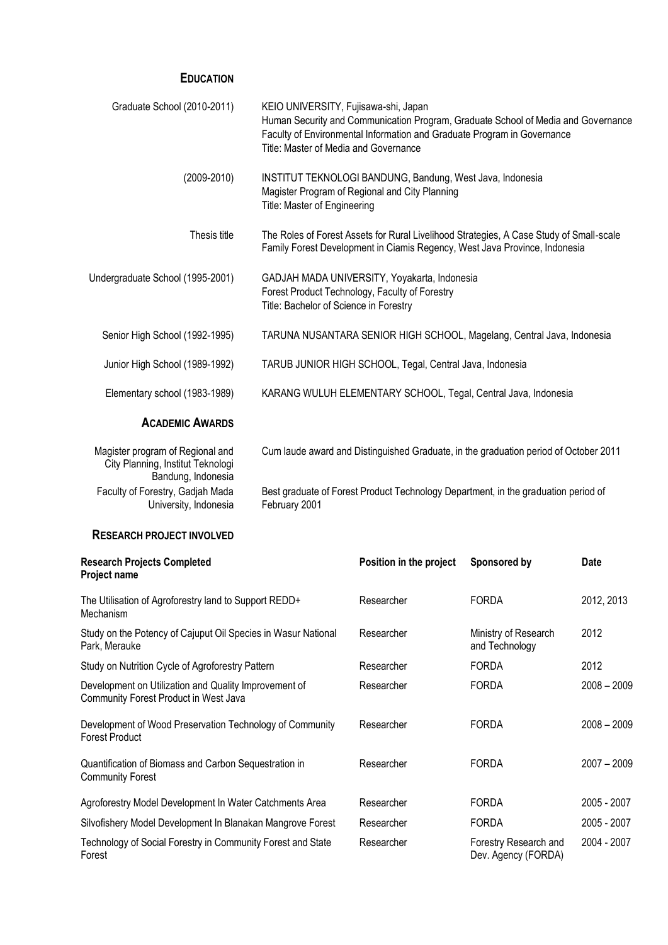### **EDUCATION**

| Graduate School (2010-2011)                                                                 | KEIO UNIVERSITY, Fujisawa-shi, Japan<br>Human Security and Communication Program, Graduate School of Media and Governance<br>Faculty of Environmental Information and Graduate Program in Governance<br>Title: Master of Media and Governance |
|---------------------------------------------------------------------------------------------|-----------------------------------------------------------------------------------------------------------------------------------------------------------------------------------------------------------------------------------------------|
| $(2009 - 2010)$                                                                             | INSTITUT TEKNOLOGI BANDUNG, Bandung, West Java, Indonesia<br>Magister Program of Regional and City Planning<br>Title: Master of Engineering                                                                                                   |
| Thesis title                                                                                | The Roles of Forest Assets for Rural Livelihood Strategies, A Case Study of Small-scale<br>Family Forest Development in Ciamis Regency, West Java Province, Indonesia                                                                         |
| Undergraduate School (1995-2001)                                                            | GADJAH MADA UNIVERSITY, Yoyakarta, Indonesia<br>Forest Product Technology, Faculty of Forestry<br>Title: Bachelor of Science in Forestry                                                                                                      |
| Senior High School (1992-1995)                                                              | TARUNA NUSANTARA SENIOR HIGH SCHOOL, Magelang, Central Java, Indonesia                                                                                                                                                                        |
| Junior High School (1989-1992)                                                              | TARUB JUNIOR HIGH SCHOOL, Tegal, Central Java, Indonesia                                                                                                                                                                                      |
| Elementary school (1983-1989)                                                               | KARANG WULUH ELEMENTARY SCHOOL, Tegal, Central Java, Indonesia                                                                                                                                                                                |
| <b>ACADEMIC AWARDS</b>                                                                      |                                                                                                                                                                                                                                               |
| Magister program of Regional and<br>City Planning, Institut Teknologi<br>Bandung, Indonesia | Cum laude award and Distinguished Graduate, in the graduation period of October 2011                                                                                                                                                          |
| Faculty of Forestry, Gadjah Mada<br>University, Indonesia                                   | Best graduate of Forest Product Technology Department, in the graduation period of<br>February 2001                                                                                                                                           |
| <b>RESEARCH PROJECT INVOLVED</b>                                                            |                                                                                                                                                                                                                                               |

| <b>Research Projects Completed</b><br>Project name                                             | Position in the project | Sponsored by                                 | <b>Date</b>   |
|------------------------------------------------------------------------------------------------|-------------------------|----------------------------------------------|---------------|
| The Utilisation of Agroforestry land to Support REDD+<br>Mechanism                             | Researcher              | <b>FORDA</b>                                 | 2012, 2013    |
| Study on the Potency of Cajuput Oil Species in Wasur National<br>Park, Merauke                 | Researcher              | Ministry of Research<br>and Technology       | 2012          |
| Study on Nutrition Cycle of Agroforestry Pattern                                               | Researcher              | <b>FORDA</b>                                 | 2012          |
| Development on Utilization and Quality Improvement of<br>Community Forest Product in West Java | Researcher              | <b>FORDA</b>                                 | $2008 - 2009$ |
| Development of Wood Preservation Technology of Community<br><b>Forest Product</b>              | Researcher              | <b>FORDA</b>                                 | $2008 - 2009$ |
| Quantification of Biomass and Carbon Sequestration in<br><b>Community Forest</b>               | Researcher              | <b>FORDA</b>                                 | $2007 - 2009$ |
| Agroforestry Model Development In Water Catchments Area                                        | Researcher              | <b>FORDA</b>                                 | 2005 - 2007   |
| Silvofishery Model Development In Blanakan Mangrove Forest                                     | Researcher              | <b>FORDA</b>                                 | 2005 - 2007   |
| Technology of Social Forestry in Community Forest and State<br>Forest                          | Researcher              | Forestry Research and<br>Dev. Agency (FORDA) | 2004 - 2007   |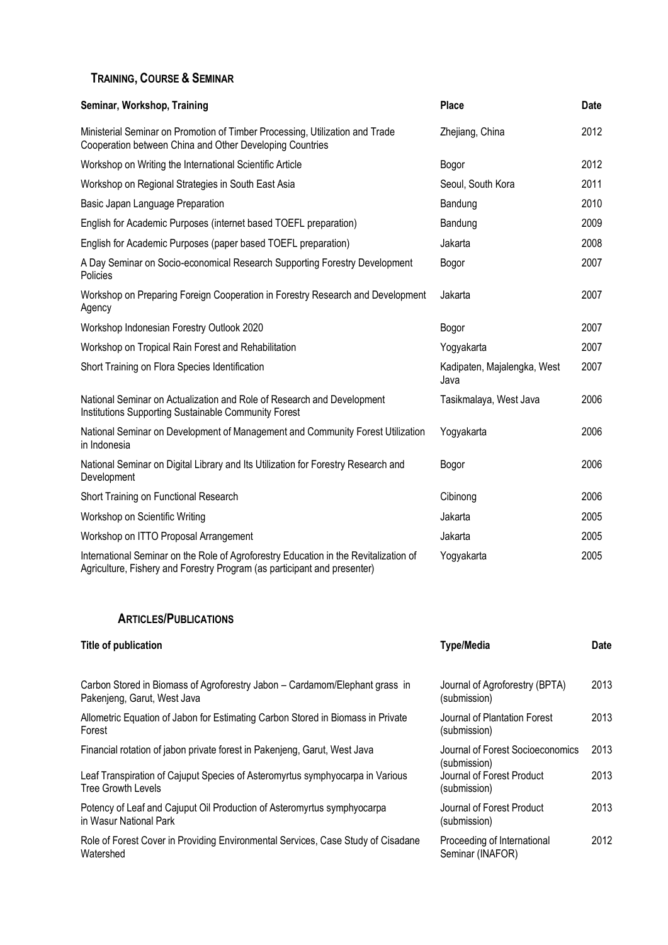## **TRAINING, COURSE & SEMINAR**

| Seminar, Workshop, Training                                                                                                                                      | <b>Place</b>                        | Date |
|------------------------------------------------------------------------------------------------------------------------------------------------------------------|-------------------------------------|------|
| Ministerial Seminar on Promotion of Timber Processing, Utilization and Trade<br>Cooperation between China and Other Developing Countries                         | Zhejiang, China                     | 2012 |
| Workshop on Writing the International Scientific Article                                                                                                         | Bogor                               | 2012 |
| Workshop on Regional Strategies in South East Asia                                                                                                               | Seoul, South Kora                   | 2011 |
| Basic Japan Language Preparation                                                                                                                                 | Bandung                             | 2010 |
| English for Academic Purposes (internet based TOEFL preparation)                                                                                                 | Bandung                             | 2009 |
| English for Academic Purposes (paper based TOEFL preparation)                                                                                                    | Jakarta                             | 2008 |
| A Day Seminar on Socio-economical Research Supporting Forestry Development<br>Policies                                                                           | Bogor                               | 2007 |
| Workshop on Preparing Foreign Cooperation in Forestry Research and Development<br>Agency                                                                         | Jakarta                             | 2007 |
| Workshop Indonesian Forestry Outlook 2020                                                                                                                        | Bogor                               | 2007 |
| Workshop on Tropical Rain Forest and Rehabilitation                                                                                                              | Yogyakarta                          | 2007 |
| Short Training on Flora Species Identification                                                                                                                   | Kadipaten, Majalengka, West<br>Java | 2007 |
| National Seminar on Actualization and Role of Research and Development<br>Institutions Supporting Sustainable Community Forest                                   | Tasikmalaya, West Java              | 2006 |
| National Seminar on Development of Management and Community Forest Utilization<br>in Indonesia                                                                   | Yogyakarta                          | 2006 |
| National Seminar on Digital Library and Its Utilization for Forestry Research and<br>Development                                                                 | Bogor                               | 2006 |
| Short Training on Functional Research                                                                                                                            | Cibinong                            | 2006 |
| Workshop on Scientific Writing                                                                                                                                   | Jakarta                             | 2005 |
| Workshop on ITTO Proposal Arrangement                                                                                                                            | Jakarta                             | 2005 |
| International Seminar on the Role of Agroforestry Education in the Revitalization of<br>Agriculture, Fishery and Forestry Program (as participant and presenter) | Yogyakarta                          | 2005 |

### **ARTICLES/PUBLICATIONS**

| Title of publication                                                                                       | <b>Type/Media</b>                                | <b>Date</b> |
|------------------------------------------------------------------------------------------------------------|--------------------------------------------------|-------------|
| Carbon Stored in Biomass of Agroforestry Jabon - Cardamom/Elephant grass in<br>Pakenjeng, Garut, West Java | Journal of Agroforestry (BPTA)<br>(submission)   | 2013        |
| Allometric Equation of Jabon for Estimating Carbon Stored in Biomass in Private<br>Forest                  | Journal of Plantation Forest<br>(submission)     | 2013        |
| Financial rotation of jabon private forest in Pakenjeng, Garut, West Java                                  | Journal of Forest Socioeconomics<br>(submission) | 2013        |
| Leaf Transpiration of Cajuput Species of Asteromyrtus symphyocarpa in Various<br><b>Tree Growth Levels</b> | Journal of Forest Product<br>(submission)        | 2013        |
| Potency of Leaf and Cajuput Oil Production of Asteromyrtus symphyocarpa<br>in Wasur National Park          | Journal of Forest Product<br>(submission)        | 2013        |
| Role of Forest Cover in Providing Environmental Services, Case Study of Cisadane<br>Watershed              | Proceeding of International<br>Seminar (INAFOR)  | 2012        |